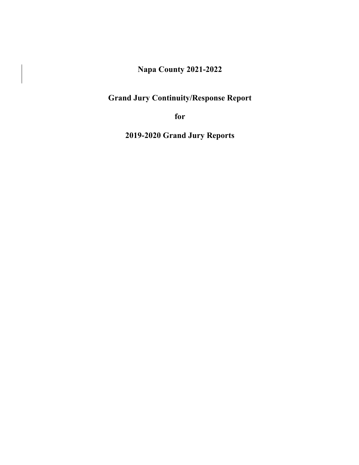# **Napa County 2021-2022**

# **Grand Jury Continuity/Response Report**

**for**

**2019-2020 Grand Jury Reports**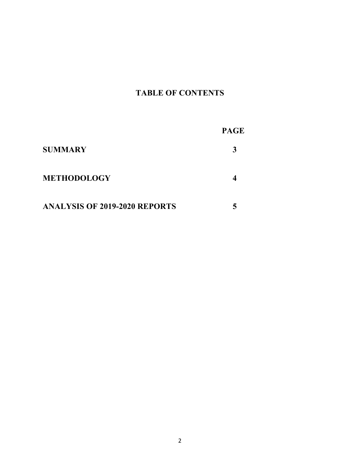# **TABLE OF CONTENTS**

|                                      | <b>PAGE</b> |
|--------------------------------------|-------------|
| <b>SUMMARY</b>                       |             |
| <b>METHODOLOGY</b>                   |             |
| <b>ANALYSIS OF 2019-2020 REPORTS</b> |             |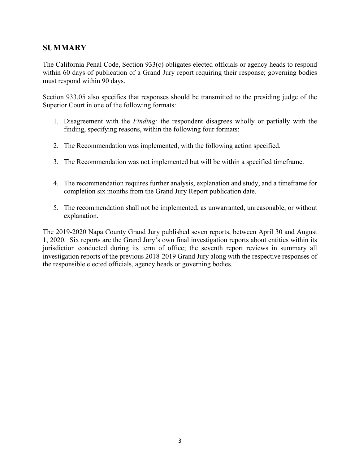## **SUMMARY**

The California Penal Code, Section 933(c) obligates elected officials or agency heads to respond within 60 days of publication of a Grand Jury report requiring their response; governing bodies must respond within 90 days.

Section 933.05 also specifies that responses should be transmitted to the presiding judge of the Superior Court in one of the following formats:

- 1. Disagreement with the *Finding:* the respondent disagrees wholly or partially with the finding, specifying reasons, within the following four formats:
- 2. The Recommendation was implemented, with the following action specified.
- 3. The Recommendation was not implemented but will be within a specified timeframe.
- 4. The recommendation requires further analysis, explanation and study, and a timeframe for completion six months from the Grand Jury Report publication date.
- 5. The recommendation shall not be implemented, as unwarranted, unreasonable, or without explanation.

The 2019-2020 Napa County Grand Jury published seven reports, between April 30 and August 1, 2020. Six reports are the Grand Jury's own final investigation reports about entities within its jurisdiction conducted during its term of office; the seventh report reviews in summary all investigation reports of the previous 2018-2019 Grand Jury along with the respective responses of the responsible elected officials, agency heads or governing bodies.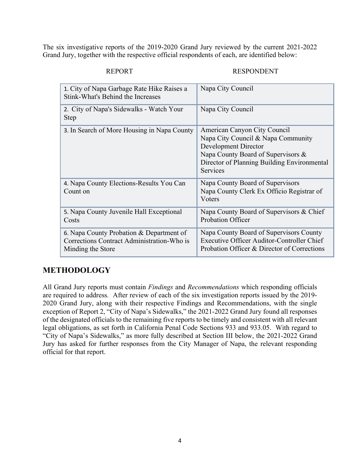The six investigative reports of the 2019-2020 Grand Jury reviewed by the current 2021-2022 Grand Jury, together with the respective official respondents of each, are identified below:

#### REPORT RESPONDENT

| 1. City of Napa Garbage Rate Hike Raises a<br>Stink-What's Behind the Increases                             | Napa City Council                                                                                                                                                                                  |
|-------------------------------------------------------------------------------------------------------------|----------------------------------------------------------------------------------------------------------------------------------------------------------------------------------------------------|
| 2. City of Napa's Sidewalks - Watch Your<br>Step                                                            | Napa City Council                                                                                                                                                                                  |
| 3. In Search of More Housing in Napa County                                                                 | American Canyon City Council<br>Napa City Council & Napa Community<br><b>Development Director</b><br>Napa County Board of Supervisors &<br>Director of Planning Building Environmental<br>Services |
| 4. Napa County Elections-Results You Can<br>Count on                                                        | Napa County Board of Supervisors<br>Napa County Clerk Ex Officio Registrar of<br>Voters                                                                                                            |
| 5. Napa County Juvenile Hall Exceptional<br>Costs                                                           | Napa County Board of Supervisors & Chief<br>Probation Officer                                                                                                                                      |
| 6. Napa County Probation & Department of<br>Corrections Contract Administration-Who is<br>Minding the Store | Napa County Board of Supervisors County<br>Executive Officer Auditor-Controller Chief<br>Probation Officer & Director of Corrections                                                               |

## **METHODOLOGY**

All Grand Jury reports must contain *Findings* and *Recommendations* which responding officials are required to address*.* After review of each of the six investigation reports issued by the 2019- 2020 Grand Jury, along with their respective Findings and Recommendations, with the single exception of Report 2, "City of Napa's Sidewalks," the 2021-2022 Grand Jury found all responses of the designated officials to the remaining five reports to be timely and consistent with all relevant legal obligations, as set forth in California Penal Code Sections 933 and 933.05. With regard to "City of Napa's Sidewalks," as more fully described at Section III below, the 2021-2022 Grand Jury has asked for further responses from the City Manager of Napa, the relevant responding official for that report.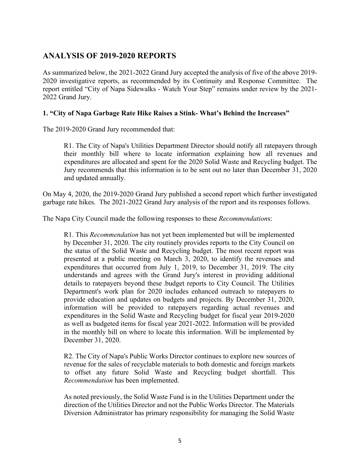## **ANALYSIS OF 2019-2020 REPORTS**

As summarized below, the 2021-2022 Grand Jury accepted the analysis of five of the above 2019- 2020 investigative reports, as recommended by its Continuity and Response Committee. The report entitled "City of Napa Sidewalks - Watch Your Step" remains under review by the 2021- 2022 Grand Jury.

## **1. "City of Napa Garbage Rate Hike Raises a Stink- What's Behind the Increases"**

The 2019-2020 Grand Jury recommended that:

R1. The City of Napa's Utilities Department Director should notify all ratepayers through their monthly bill where to locate information explaining how all revenues and expenditures are allocated and spent for the 2020 Solid Waste and Recycling budget. The Jury recommends that this information is to be sent out no later than December 31, 2020 and updated annually.

On May 4, 2020, the 2019-2020 Grand Jury published a second report which further investigated garbage rate hikes. The 2021-2022 Grand Jury analysis of the report and its responses follows.

The Napa City Council made the following responses to these *Recommendation*s:

R1. This *Recommendation* has not yet been implemented but will be implemented by December 31, 2020. The city routinely provides reports to the City Council on the status of the Solid Waste and Recycling budget. The most recent report was presented at a public meeting on March 3, 2020, to identify the revenues and expenditures that occurred from July 1, 2019, to December 31, 2019. The city understands and agrees with the Grand Jury's interest in providing additional details to ratepayers beyond these budget reports to City Council. The Utilities Department's work plan for 2020 includes enhanced outreach to ratepayers to provide education and updates on budgets and projects. By December 31, 2020, information will be provided to ratepayers regarding actual revenues and expenditures in the Solid Waste and Recycling budget for fiscal year 2019-2020 as well as budgeted items for fiscal year 2021-2022. Information will be provided in the monthly bill on where to locate this information. Will be implemented by December 31, 2020.

R2. The City of Napa's Public Works Director continues to explore new sources of revenue for the sales of recyclable materials to both domestic and foreign markets to offset any future Solid Waste and Recycling budget shortfall. This *Recommendation* has been implemented.

As noted previously, the Solid Waste Fund is in the Utilities Department under the direction of the Utilities Director and not the Public Works Director. The Materials Diversion Administrator has primary responsibility for managing the Solid Waste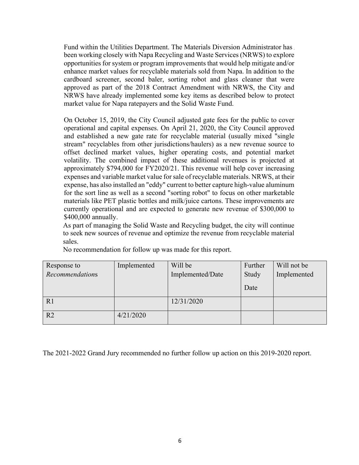Fund within the Utilities Department. The Materials Diversion Administrator has been working closely with Napa Recycling and Waste Services (NRWS) to explore opportunities for system or program improvements that would help mitigate and/or enhance market values for recyclable materials sold from Napa. In addition to the cardboard screener, second baler, sorting robot and glass cleaner that were approved as part of the 2018 Contract Amendment with NRWS, the City and NRWS have already implemented some key items as described below to protect market value for Napa ratepayers and the Solid Waste Fund.

On October 15, 2019, the City Council adjusted gate fees for the public to cover operational and capital expenses. On April 21, 2020, the City Council approved and established a new gate rate for recyclable material (usually mixed "single stream" recyclables from other jurisdictions/haulers) as a new revenue source to offset declined market values, higher operating costs, and potential market volatility. The combined impact of these additional revenues is projected at approximately \$794,000 for FY2020/21. This revenue will help cover increasing expenses and variable market value for sale of recyclable materials. NRWS, at their expense, has also installed an "eddy" current to better capture high-value aluminum for the sort line as well as a second "sorting robot" to focus on other marketable materials like PET plastic bottles and milk/juice cartons. These improvements are currently operational and are expected to generate new revenue of \$300,000 to \$400,000 annually.

As part of managing the Solid Waste and Recycling budget, the city will continue to seek new sources of revenue and optimize the revenue from recyclable material sales.

| Response to     | Implemented | Will be          | Further | Will not be |
|-----------------|-------------|------------------|---------|-------------|
| Recommendations |             | Implemented/Date | Study   | Implemented |
|                 |             |                  | Date    |             |
| R1              |             | 12/31/2020       |         |             |
| R <sub>2</sub>  | 4/21/2020   |                  |         |             |

No recommendation for follow up was made for this report.

The 2021-2022 Grand Jury recommended no further follow up action on this 2019-2020 report.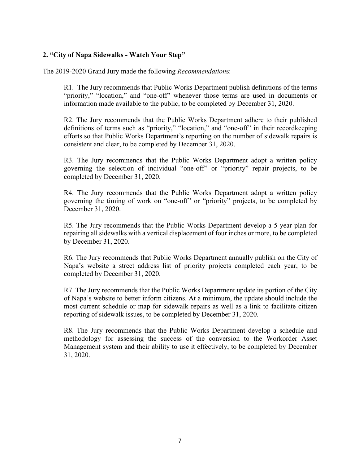## **2. "City of Napa Sidewalks - Watch Your Step"**

The 2019-2020 Grand Jury made the following *Recommendation*s:

R1. The Jury recommends that Public Works Department publish definitions of the terms "priority," "location," and "one-off" whenever those terms are used in documents or information made available to the public, to be completed by December 31, 2020.

R2. The Jury recommends that the Public Works Department adhere to their published definitions of terms such as "priority," "location," and "one-off" in their recordkeeping efforts so that Public Works Department's reporting on the number of sidewalk repairs is consistent and clear, to be completed by December 31, 2020.

R3. The Jury recommends that the Public Works Department adopt a written policy governing the selection of individual "one-off" or "priority" repair projects, to be completed by December 31, 2020.

R4. The Jury recommends that the Public Works Department adopt a written policy governing the timing of work on "one-off" or "priority" projects, to be completed by December 31, 2020.

R5. The Jury recommends that the Public Works Department develop a 5-year plan for repairing all sidewalks with a vertical displacement of four inches or more, to be completed by December 31, 2020.

R6. The Jury recommends that Public Works Department annually publish on the City of Napa's website a street address list of priority projects completed each year, to be completed by December 31, 2020.

R7. The Jury recommends that the Public Works Department update its portion of the City of Napa's website to better inform citizens. At a minimum, the update should include the most current schedule or map for sidewalk repairs as well as a link to facilitate citizen reporting of sidewalk issues, to be completed by December 31, 2020.

R8. The Jury recommends that the Public Works Department develop a schedule and methodology for assessing the success of the conversion to the Workorder Asset Management system and their ability to use it effectively, to be completed by December 31, 2020.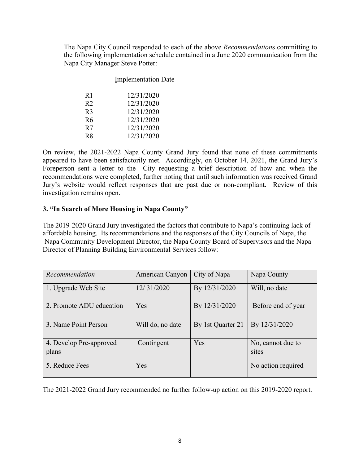The Napa City Council responded to each of the above *Recommendation*s committing to the following implementation schedule contained in a June 2020 communication from the Napa City Manager Steve Potter:

| <b>Implementation Date</b> |
|----------------------------|
| 12/31/2020                 |
| 12/31/2020                 |
| 12/31/2020                 |
| 12/31/2020                 |
| 12/31/2020                 |
| 12/31/2020                 |
|                            |

On review, the 2021-2022 Napa County Grand Jury found that none of these commitments appeared to have been satisfactorily met. Accordingly, on October 14, 2021, the Grand Jury's Foreperson sent a letter to the City requesting a brief description of how and when the recommendations were completed, further noting that until such information was received Grand Jury's website would reflect responses that are past due or non-compliant. Review of this investigation remains open.

#### **3. "In Search of More Housing in Napa County"**

The 2019-2020 Grand Jury investigated the factors that contribute to Napa's continuing lack of affordable housing. Its recommendations and the responses of the City Councils of Napa, the Napa Community Development Director, the Napa County Board of Supervisors and the Napa Director of Planning Building Environmental Services follow:

| Recommendation                   | American Canyon  | City of Napa      | Napa County                |
|----------------------------------|------------------|-------------------|----------------------------|
| 1. Upgrade Web Site              | 12/31/2020       | By 12/31/2020     | Will, no date              |
| 2. Promote ADU education         | Yes              | By 12/31/2020     | Before end of year         |
| 3. Name Point Person             | Will do, no date | By 1st Quarter 21 | By 12/31/2020              |
| 4. Develop Pre-approved<br>plans | Contingent       | Yes               | No, cannot due to<br>sites |
| 5. Reduce Fees                   | Yes              |                   | No action required         |

The 2021-2022 Grand Jury recommended no further follow-up action on this 2019-2020 report.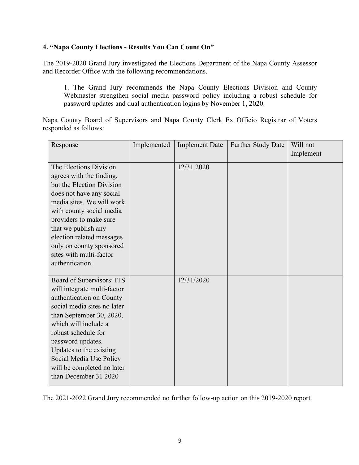## **4. "Napa County Elections - Results You Can Count On"**

The 2019-2020 Grand Jury investigated the Elections Department of the Napa County Assessor and Recorder Office with the following recommendations.

1. The Grand Jury recommends the Napa County Elections Division and County Webmaster strengthen social media password policy including a robust schedule for password updates and dual authentication logins by November 1, 2020.

Napa County Board of Supervisors and Napa County Clerk Ex Officio Registrar of Voters responded as follows:

| Response                    | Implemented | <b>Implement Date</b> | <b>Further Study Date</b> | Will not  |
|-----------------------------|-------------|-----------------------|---------------------------|-----------|
|                             |             |                       |                           | Implement |
| The Elections Division      |             | 12/31 2020            |                           |           |
| agrees with the finding,    |             |                       |                           |           |
| but the Election Division   |             |                       |                           |           |
| does not have any social    |             |                       |                           |           |
| media sites. We will work   |             |                       |                           |           |
| with county social media    |             |                       |                           |           |
| providers to make sure      |             |                       |                           |           |
| that we publish any         |             |                       |                           |           |
| election related messages   |             |                       |                           |           |
| only on county sponsored    |             |                       |                           |           |
| sites with multi-factor     |             |                       |                           |           |
| authentication.             |             |                       |                           |           |
| Board of Supervisors: ITS   |             | 12/31/2020            |                           |           |
| will integrate multi-factor |             |                       |                           |           |
| authentication on County    |             |                       |                           |           |
| social media sites no later |             |                       |                           |           |
| than September 30, 2020,    |             |                       |                           |           |
| which will include a        |             |                       |                           |           |
| robust schedule for         |             |                       |                           |           |
| password updates.           |             |                       |                           |           |
| Updates to the existing     |             |                       |                           |           |
| Social Media Use Policy     |             |                       |                           |           |
| will be completed no later  |             |                       |                           |           |
| than December 31 2020       |             |                       |                           |           |

The 2021-2022 Grand Jury recommended no further follow-up action on this 2019-2020 report.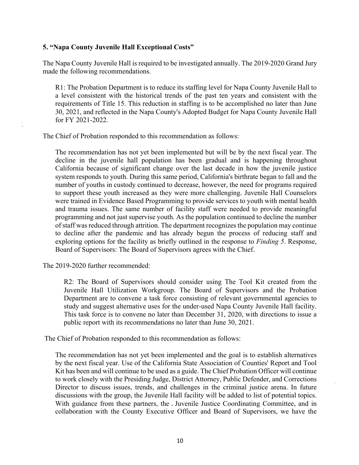## **5. "Napa County Juvenile Hall Exceptional Costs"**

The Napa County Juvenile Hall is required to be investigated annually. The 2019-2020 Grand Jury made the following recommendations.

R1: The Probation Department is to reduce its staffing level for Napa County Juvenile Hall to a level consistent with the historical trends of the past ten years and consistent with the requirements of Title 15. This reduction in staffing is to be accomplished no later than June 30, 2021, and reflected in the Napa County's Adopted Budget for Napa County Juvenile Hall for FY 2021-2022.

The Chief of Probation responded to this recommendation as follows:

The recommendation has not yet been implemented but will be by the next fiscal year. The decline in the juvenile hall population has been gradual and is happening throughout California because of significant change over the last decade in how the juvenile justice system responds to youth. During this same period, California's birthrate began to fall and the number of youths in custody continued to decrease, however, the need for programs required to support these youth increased as they were more challenging. Juvenile Hall Counselors were trained in Evidence Based Programming to provide services to youth with mental health and trauma issues. The same number of facility staff were needed to provide meaningful programming and not just supervise youth. As the population continued to decline the number of staff was reduced through attrition. The department recognizes the population may continue to decline after the pandemic and has already begun the process of reducing staff and exploring options for the facility as briefly outlined in the response to *Finding 5*. Response, Board of Supervisors: The Board of Supervisors agrees with the Chief.

The 2019-2020 further recommended:

R2: The Board of Supervisors should consider using The Tool Kit created from the Juvenile Hall Utilization Workgroup. The Board of Supervisors and the Probation Department are to convene a task force consisting of relevant governmental agencies to study and suggest alternative uses for the under-used Napa County Juvenile Hall facility. This task force is to convene no later than December 31, 2020, with directions to issue a public report with its recommendations no later than June 30, 2021.

The Chief of Probation responded to this recommendation as follows:

The recommendation has not yet been implemented and the goal is to establish alternatives by the next fiscal year. Use of the California State Association of Counties' Report and Tool Kit has been and will continue to be used as a guide. The Chief Probation Officer will continue to work closely with the Presiding Judge, District Attorney, Public Defender, and Corrections Director to discuss issues, trends, and challenges in the criminal justice arena. In future discussions with the group, the Juvenile Hall facility will be added to list of potential topics. With guidance from these partners, the Juvenile Justice Coordinating Committee, and in collaboration with the County Executive Officer and Board of Supervisors, we have the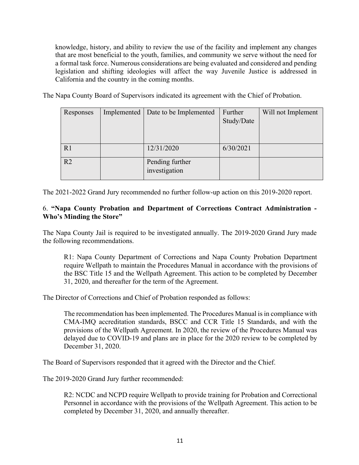knowledge, history, and ability to review the use of the facility and implement any changes that are most beneficial to the youth, families, and community we serve without the need for a formal task force. Numerous considerations are being evaluated and considered and pending legislation and shifting ideologies will affect the way Juvenile Justice is addressed in California and the country in the coming months.

The Napa County Board of Supervisors indicated its agreement with the Chief of Probation.

| Responses      | Implemented | Date to be Implemented | Further    | Will not Implement |
|----------------|-------------|------------------------|------------|--------------------|
|                |             |                        | Study/Date |                    |
|                |             |                        |            |                    |
|                |             |                        |            |                    |
| R1             |             | 12/31/2020             | 6/30/2021  |                    |
|                |             |                        |            |                    |
| R <sub>2</sub> |             | Pending further        |            |                    |
|                |             | investigation          |            |                    |
|                |             |                        |            |                    |

The 2021-2022 Grand Jury recommended no further follow-up action on this 2019-2020 report.

## 6. **"Napa County Probation and Department of Corrections Contract Administration - Who's Minding the Store"**

The Napa County Jail is required to be investigated annually. The 2019-2020 Grand Jury made the following recommendations.

R1: Napa County Department of Corrections and Napa County Probation Department require Wellpath to maintain the Procedures Manual in accordance with the provisions of the BSC Title 15 and the Wellpath Agreement. This action to be completed by December 31, 2020, and thereafter for the term of the Agreement.

The Director of Corrections and Chief of Probation responded as follows:

The recommendation has been implemented. The Procedures Manual is in compliance with CMA-IMQ accreditation standards, BSCC and CCR Title 15 Standards, and with the provisions of the Wellpath Agreement. In 2020, the review of the Procedures Manual was delayed due to COVID-19 and plans are in place for the 2020 review to be completed by December 31, 2020.

The Board of Supervisors responded that it agreed with the Director and the Chief.

The 2019-2020 Grand Jury further recommended:

R2: NCDC and NCPD require Wellpath to provide training for Probation and Correctional Personnel in accordance with the provisions of the Wellpath Agreement. This action to be completed by December 31, 2020, and annually thereafter.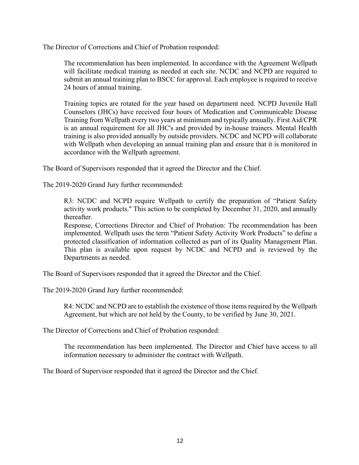The Director of Corrections and Chief of Probation responded:

The recommendation has been implemented. In accordance with the Agreement Wellpath will facilitate medical training as needed at each site. NCDC and NCPD are required to submit an annual training plan to BSCC for approval. Each employee is required to receive 24 hours of annual training.

Training topics are rotated for the year based on department need. NCPD Juvenile Hall Counselors (JHCs) have received four hours of Medication and Communicable Disease Training from Wellpath every two years at minimum and typically annually. First Aid/CPR is an annual requirement for all JHC's and provided by in-house trainers. Mental Health training is also provided annually by outside providers. NCDC and NCPD will collaborate with Wellpath when developing an annual training plan and ensure that it is monitored in accordance with the Wellpath agreement.

The Board of Supervisors responded that it agreed the Director and the Chief.

The 2019-2020 Grand Jury further recommended:

R3: NCDC and NCPD require Wellpath to certify the preparation of "Patient Safety activity work products." This action to be completed by December 31, 2020, and annually thereafter.

Response, Corrections Director and Chief of Probation: The recommendation has been implemented. Wellpath uses the term "Patient Safety Activity Work Products" to define a protected classification of information collected as part of its Quality Management Plan. This plan is available upon request by NCDC and NCPD and is reviewed by the Departments as needed.

The Board of Supervisors responded that it agreed the Director and the Chief.

The 2019-2020 Grand Jury further recommended:

R4: NCDC and NCPD are to establish the existence of those items required by the Wellpath Agreement, but which are not held by the County, to be verified by June 30, 2021.

The Director of Corrections and Chief of Probation responded:

The recommendation has been implemented. The Director and Chief have access to all information necessary to administer the contract with Wellpath.

The Board of Supervisor responded that it agreed the Director and the Chief.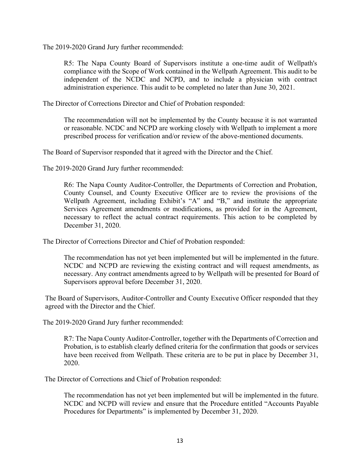The 2019-2020 Grand Jury further recommended:

R5: The Napa County Board of Supervisors institute a one-time audit of Wellpath's compliance with the Scope of Work contained in the Wellpath Agreement. This audit to be independent of the NCDC and NCPD, and to include a physician with contract administration experience. This audit to be completed no later than June 30, 2021.

The Director of Corrections Director and Chief of Probation responded:

The recommendation will not be implemented by the County because it is not warranted or reasonable. NCDC and NCPD are working closely with Wellpath to implement a more prescribed process for verification and/or review of the above-mentioned documents.

The Board of Supervisor responded that it agreed with the Director and the Chief.

The 2019-2020 Grand Jury further recommended:

R6: The Napa County Auditor-Controller, the Departments of Correction and Probation, County Counsel, and County Executive Officer are to review the provisions of the Wellpath Agreement, including Exhibit's "A" and "B," and institute the appropriate Services Agreement amendments or modifications, as provided for in the Agreement, necessary to reflect the actual contract requirements. This action to be completed by December 31, 2020.

The Director of Corrections Director and Chief of Probation responded:

The recommendation has not yet been implemented but will be implemented in the future. NCDC and NCPD are reviewing the existing contract and will request amendments, as necessary. Any contract amendments agreed to by Wellpath will be presented for Board of Supervisors approval before December 31, 2020.

The Board of Supervisors, Auditor-Controller and County Executive Officer responded that they agreed with the Director and the Chief.

The 2019-2020 Grand Jury further recommended:

R7: The Napa County Auditor-Controller, together with the Departments of Correction and Probation, is to establish clearly defined criteria for the confirmation that goods or services have been received from Wellpath. These criteria are to be put in place by December 31, 2020.

The Director of Corrections and Chief of Probation responded:

The recommendation has not yet been implemented but will be implemented in the future. NCDC and NCPD will review and ensure that the Procedure entitled "Accounts Payable Procedures for Departments" is implemented by December 31, 2020.